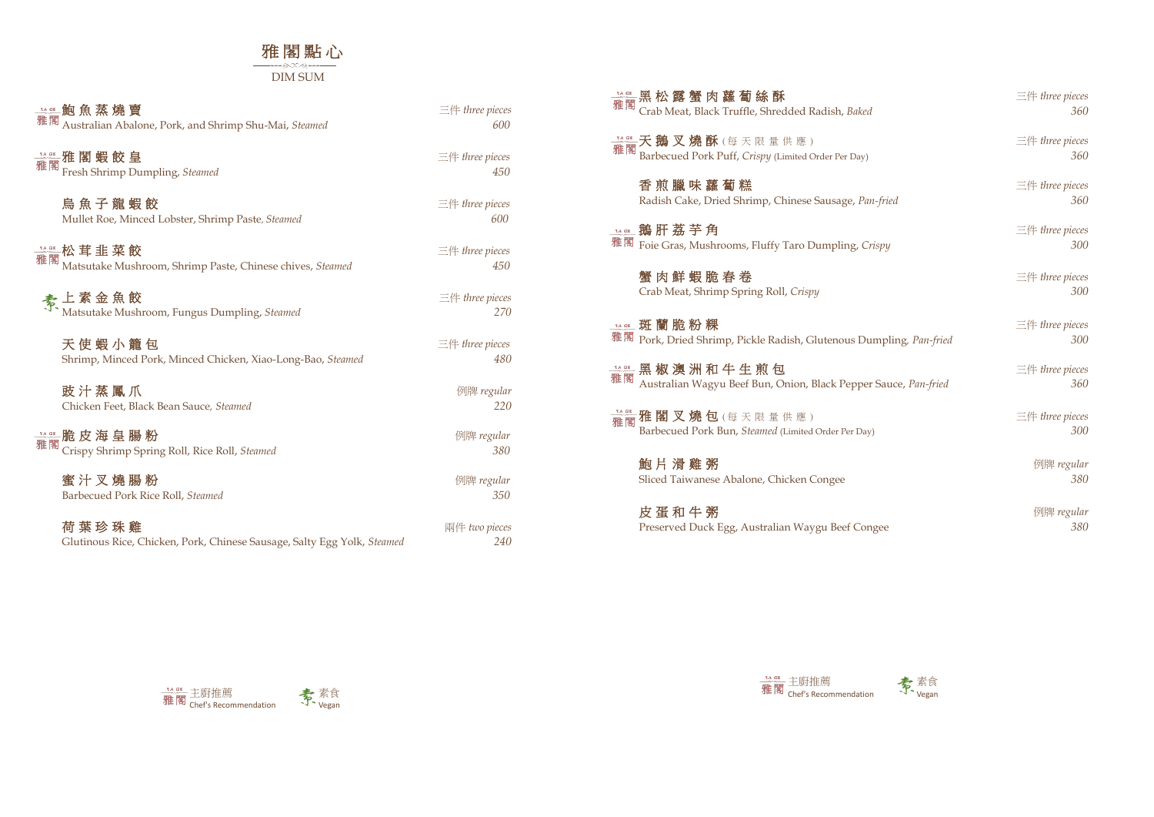## 雅 閣 點 心 DIM SUM

## 鮑 魚 蒸 燒 賣 三件 *three pieces*

Australian Abalone, Pork, and Shrimp Shu-Mai, *Steamed 600*

**雅 閣 蝦 餃 皇 こうしょう こうしょう こうしょう エム エム 三件 three pieces** Fresh Shrimp Dumpling, *Steamed 450*

**整整松 茸 韭 菜 餃**<br>雅閣 Mateutales Mushnoom, Shrima Bosto, Chinese shives, Steward <br>150 Matsutake Mushroom, Shrimp Paste, Chinese chives, *Steamed 450*

烏 魚 子 龍 蝦 餃 三件 *three pieces* Mullet Roe, Minced Lobster, Shrimp Paste, *Steamed 600*

天 使 蝦 小 籠 包 こころ ことについて こうしゃ こうしゃ 三件 three pieces Shrimp, Minced Pork, Minced Chicken, Xiao-Long-Bao, *Steamed 480*

**鼓汁蒸鳳爪** 例牌 regular Chicken Feet, Black Bean Sauce*, Steamed 220*

**蜜 汁 叉 燒 腸 粉** カランス インター インター インター のうちゃく 倒牌 regular Barbecued Pork Rice Roll, *Steamed 350*

上 素 金 魚 餃 三件 *three pieces* Matsutake Mushroom, Fungus Dumpling, *Steamed 270*

**14.68 鵝 肝 荔 芋 角** 雅閣 Foie Gras, Mushrooms, Fluffy Taro Dumpling, *Cri* 

脆 皮 海 皇 腸 粉 例牌 *regular* 雅閣 Crispy Shrimp Spring Roll, Rice Roll, *Steamed 380* **黑 椒 澳 洲 和 牛 生 煎 包 こんのう こうしょう こうしょう 三件 three pieces** Australian Wagyu Beef Bun, Onion, Black Pepper Sauce, *Pan-fried 360*

**雜 雅 閣 叉 燒 包** (每天限量供應) Barbecued Pork Bun, *Steamed* (Limited Order Per Day)

荷 葉 珍 珠 雞 兩件 *two pieces* Glutinous Rice, Chicken, Pork, Chinese Sausage, Salty Egg Yolk, *Steamed 240*

**黑 松 露 蟹 肉 蘿 蔔 絲 酥 ろうこう こうしょう こうしょう 三件 three pieces** 

| 黑 松 露 蟹 肉 蘿 蔔 絲 酥                                                | $\equiv$ $#$ three pieces |
|------------------------------------------------------------------|---------------------------|
| Crab Meat, Black Truffle, Shredded Radish, Baked                 | 360                       |
| <b>天 鵝 叉 燒 酥</b> (每 天 限 量 供 應 )                                  | $\equiv$ $#$ three pieces |
| Barbecued Pork Puff, Crispy (Limited Order Per Day)              | 360                       |
| 香 煎 臘 味 蘿 蔔 糕                                                    | $\equiv$ $#$ three pieces |
| Radish Cake, Dried Shrimp, Chinese Sausage, Pan-fried            | 360                       |
| 鵝 肝 荔 芋 角                                                        | $\equiv$ $#$ three pieces |
| Foie Gras, Mushrooms, Fluffy Taro Dumpling, Crispy               | 300                       |
| 蟹 肉 鮮 蝦 脆 春 卷                                                    | $\equiv$ $#$ three pieces |
| Crab Meat, Shrimp Spring Roll, Crispy                            | 300                       |
| 斑 蘭 脆 粉 粿                                                        | $\equiv$ $#$ three pieces |
| Pork, Dried Shrimp, Pickle Radish, Glutenous Dumpling, Pan-fried | 300                       |
| 黑椒 澳 洲 和 牛 生 煎 包                                                 | $\equiv$ $#$ three pieces |
| Australian Wagyu Beef Bun, Onion, Black Pepper Sauce, Pan-fried  | 360                       |
| 雅 閣 叉 燒 包 (每 天 限 量 供 應 )                                         | $\equiv$ $#$ three pieces |
| Barbecued Pork Bun, Steamed (Limited Order Per Day)              | 300                       |
| 鮑 片 滑 雞 粥                                                        | 例牌 regular                |
| Sliced Taiwanese Abalone, Chicken Congee                         | 380                       |
| 皮 蛋 和 牛 粥                                                        | 例牌 regular                |
| Preserved Duck Egg, Australian Waygu Beef Congee                 | 380                       |

**TA GE 斑蘭脆粉粿** 雅閣 Pork, Dried Shrimp, Pickle Radish, Glutenous Dum